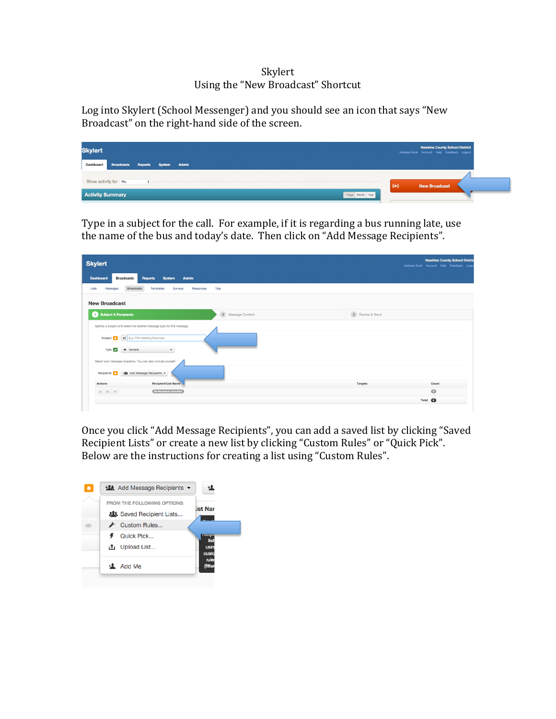## Skylert Using the "New Broadcast" Shortcut

Log into Skylert (School Messenger) and you should see an icon that says "New Broadcast" on the right-hand side of the screen.

| <b>Skylert</b>                                      | <b>Hawkins County School District</b><br>Address Book Account Help Feedback Logout |
|-----------------------------------------------------|------------------------------------------------------------------------------------|
| Broadcasts Reports System Admin<br><b>Dashboard</b> |                                                                                    |
| - Show activity for Me<br>÷                         | $(\bullet)$<br><b>New Broadcast</b>                                                |
| <b>Activity Summary</b>                             | 7 Days Month Year                                                                  |

Type in a subject for the call. For example, if it is regarding a bus running late, use the name of the bus and today's date. Then click on "Add Message Recipients".

| <b>Skylert</b>                                                                                                                                                                 | <b>Hawkins County School Distric</b><br>Address Book Account Help Feedback Logor |
|--------------------------------------------------------------------------------------------------------------------------------------------------------------------------------|----------------------------------------------------------------------------------|
| Admin<br><b>Dashboard</b><br><b>Broadcasts</b><br><b>Reports</b><br><b>System</b>                                                                                              |                                                                                  |
| <b>Broadcasts</b><br>Messages<br>Responses<br><b>Tips</b><br>Lists<br>Templates<br>Surveys                                                                                     |                                                                                  |
| <b>New Broadcast</b>                                                                                                                                                           |                                                                                  |
| 2 Message Content<br>3 Review & Send<br>Subject & Recipients                                                                                                                   |                                                                                  |
| Specify a subject and select the desired message type for this message.<br>Subject C   c   b.g. PTA Meeting Reminder<br>Type <b>of</b><br>will General<br>$\bullet$            |                                                                                  |
| Select your message recipients. You can also include yourself.<br><b>122</b> Add Message Recipients<br>Recipients 3<br><b>Recipient/List Name</b><br><b>Actions</b><br>Targets | Count                                                                            |
| No Recipients Specified<br>$X \otimes \cdots$                                                                                                                                  | $\bullet$                                                                        |
|                                                                                                                                                                                | Total <sup>O</sup>                                                               |

Once you click "Add Message Recipients", you can add a saved list by clicking "Saved Recipient Lists" or create a new list by clicking "Custom Rules" or "Quick Pick". Below are the instructions for creating a list using "Custom Rules".

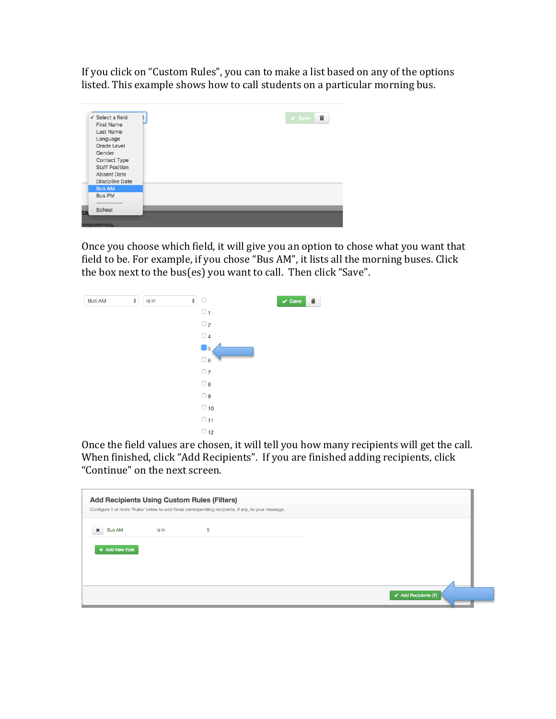If you click on "Custom Rules", you can to make a list based on any of the options listed. This example shows how to call students on a particular morning bus.



Once you choose which field, it will give you an option to chose what you want that field to be. For example, if you chose "Bus AM", it lists all the morning buses. Click the box next to the bus(es) you want to call. Then click "Save".



Once the field values are chosen, it will tell you how many recipients will get the call. When finished, click "Add Recipients". If you are finished adding recipients, click "Continue" on the next screen.

|                               |       | Configure 1 or more 'Rules' below to add those corresponding recipients, if any, to your message. |  |
|-------------------------------|-------|---------------------------------------------------------------------------------------------------|--|
| <b>Bus AM</b><br>$\mathbf{x}$ | is in | 5                                                                                                 |  |
| + Add New Rule                |       |                                                                                                   |  |
|                               |       |                                                                                                   |  |
|                               |       |                                                                                                   |  |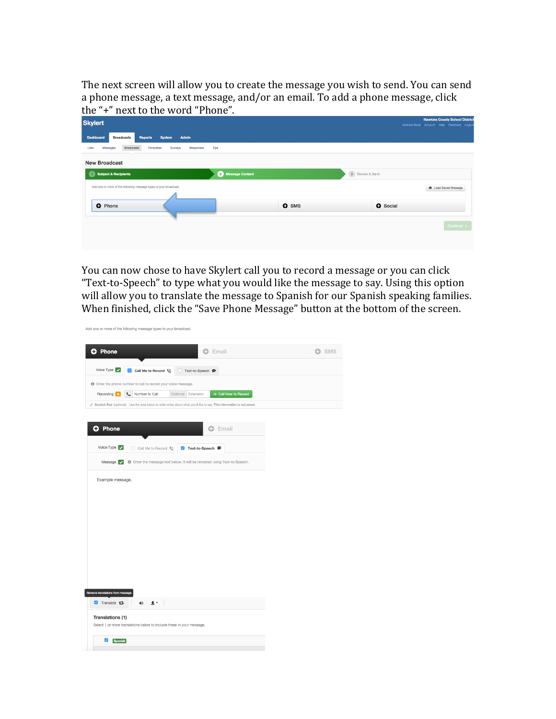The next screen will allow you to create the message you wish to send. You can send a phone message, a text message, and/or an email. To add a phone message, click the "+" next to the word "Phone".

| <b>Hawkins County School District</b>    |
|------------------------------------------|
| Address Book Account Help Feedback Logou |
|                                          |
|                                          |
|                                          |
|                                          |
| <b>A</b> Load Saved Message              |
|                                          |
|                                          |
|                                          |
| Continue >                               |
|                                          |
|                                          |
|                                          |

You can now chose to have Skylert call you to record a message or you can click "Text-to-Speech" to type what you would like the message to say. Using this option will allow you to translate the message to Spanish for our Spanish speaking families. When finished, click the "Save Phone Message" button at the bottom of the screen.

|                                                             | Add one or more of the following message types to your broadcast.                                                      |                     |                                         |              |
|-------------------------------------------------------------|------------------------------------------------------------------------------------------------------------------------|---------------------|-----------------------------------------|--------------|
| <b>O</b> Phone                                              |                                                                                                                        |                     | <b>O</b> Email                          | <b>D</b> SMS |
| Voice Type $\vert \hspace{1mm} \cdot \hspace{1mm} \vert$    | Call Me to Record                                                                                                      | Text-to-Speech @    |                                         |              |
|                                                             | <b>O</b> Enter the phone number to call to record your voice message.                                                  |                     |                                         |              |
| Recording <b>13</b>                                         | Number to Call                                                                                                         | Optional: Extension | <b><i><b>Call Now to Record</b></i></b> |              |
|                                                             | Scratch Pad (optional): Use the area below to write notes about what you'd like to say. This information is not saved. |                     |                                         |              |
|                                                             |                                                                                                                        |                     |                                         |              |
| <b>O</b> Phone                                              |                                                                                                                        |                     | <b>O</b> Email                          |              |
|                                                             |                                                                                                                        |                     |                                         |              |
| Voice Type $\blacktriangleright$                            | Call Me to Record                                                                                                      | Text-to-Speech @    |                                         |              |
| Message $\vert \cdot \vert$                                 | <b>6</b> Enter the message text below. It will be rendered using Text-to-Speech.                                       |                     |                                         |              |
|                                                             |                                                                                                                        |                     |                                         |              |
| Example message.                                            |                                                                                                                        |                     |                                         |              |
|                                                             |                                                                                                                        |                     |                                         |              |
|                                                             |                                                                                                                        |                     |                                         |              |
|                                                             |                                                                                                                        |                     |                                         |              |
|                                                             |                                                                                                                        |                     |                                         |              |
|                                                             |                                                                                                                        |                     |                                         |              |
|                                                             |                                                                                                                        |                     |                                         |              |
|                                                             |                                                                                                                        |                     |                                         |              |
|                                                             |                                                                                                                        |                     |                                         |              |
|                                                             |                                                                                                                        |                     |                                         |              |
|                                                             |                                                                                                                        |                     |                                         |              |
|                                                             |                                                                                                                        |                     |                                         |              |
|                                                             |                                                                                                                        |                     |                                         |              |
|                                                             |                                                                                                                        |                     |                                         |              |
|                                                             |                                                                                                                        |                     |                                         |              |
| Translate ta                                                | <b>A</b> .<br>(1)                                                                                                      |                     |                                         |              |
|                                                             |                                                                                                                        |                     |                                         |              |
| Remove translations from message<br><b>Translations (1)</b> | Select 1 or more translations below to include these in your message.                                                  |                     |                                         |              |
|                                                             |                                                                                                                        |                     |                                         |              |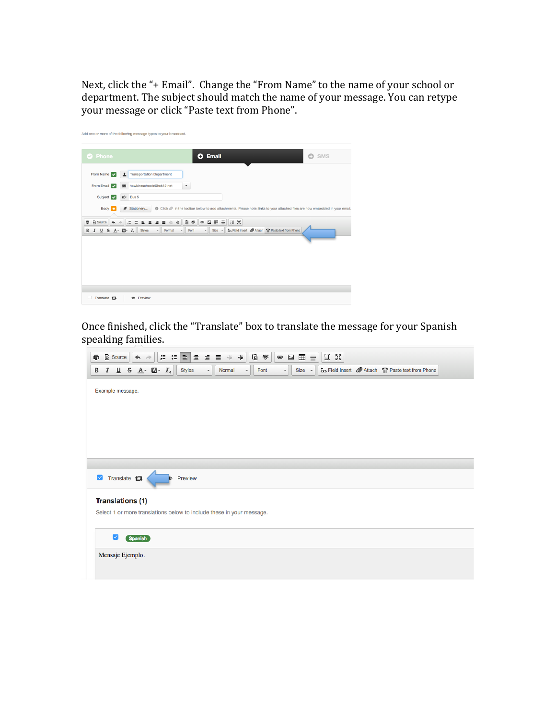Next, click the "+ Email". Change the "From Name" to the name of your school or department. The subject should match the name of your message. You can retype your message or click "Paste text from Phone".



Once finished, click the "Translate" box to translate the message for your Spanish speaking families.